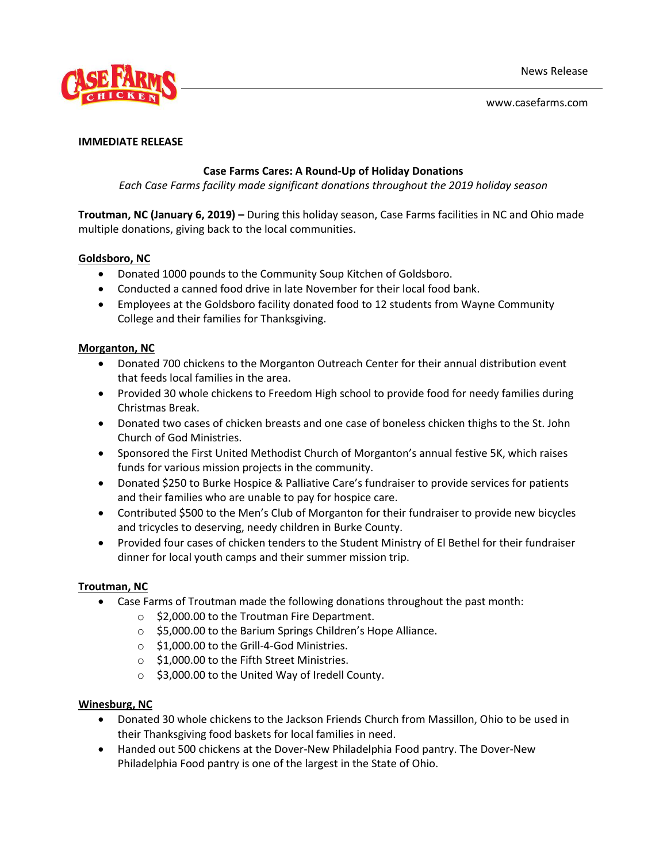

www.casefarms.com

### **IMMEDIATE RELEASE**

## **Case Farms Cares: A Round-Up of Holiday Donations**

*Each Case Farms facility made significant donations throughout the 2019 holiday season*

**Troutman, NC (January 6, 2019) –** During this holiday season, Case Farms facilities in NC and Ohio made multiple donations, giving back to the local communities.

## **Goldsboro, NC**

- Donated 1000 pounds to the Community Soup Kitchen of Goldsboro.
- Conducted a canned food drive in late November for their local food bank.
- Employees at the Goldsboro facility donated food to 12 students from Wayne Community College and their families for Thanksgiving.

## **Morganton, NC**

- Donated 700 chickens to the Morganton Outreach Center for their annual distribution event that feeds local families in the area.
- Provided 30 whole chickens to Freedom High school to provide food for needy families during Christmas Break.
- Donated two cases of chicken breasts and one case of boneless chicken thighs to the St. John Church of God Ministries.
- Sponsored the First United Methodist Church of Morganton's annual festive 5K, which raises funds for various mission projects in the community.
- Donated \$250 to Burke Hospice & Palliative Care's fundraiser to provide services for patients and their families who are unable to pay for hospice care.
- Contributed \$500 to the Men's Club of Morganton for their fundraiser to provide new bicycles and tricycles to deserving, needy children in Burke County.
- Provided four cases of chicken tenders to the Student Ministry of El Bethel for their fundraiser dinner for local youth camps and their summer mission trip.

## **Troutman, NC**

- Case Farms of Troutman made the following donations throughout the past month:
	- o \$2,000.00 to the Troutman Fire Department.
	- o \$5,000.00 to the Barium Springs Children's Hope Alliance.
	- o \$1,000.00 to the Grill-4-God Ministries.
	- o \$1,000.00 to the Fifth Street Ministries.
	- o \$3,000.00 to the United Way of Iredell County.

## **Winesburg, NC**

- Donated 30 whole chickens to the Jackson Friends Church from Massillon, Ohio to be used in their Thanksgiving food baskets for local families in need.
- Handed out 500 chickens at the Dover-New Philadelphia Food pantry. The Dover-New Philadelphia Food pantry is one of the largest in the State of Ohio.